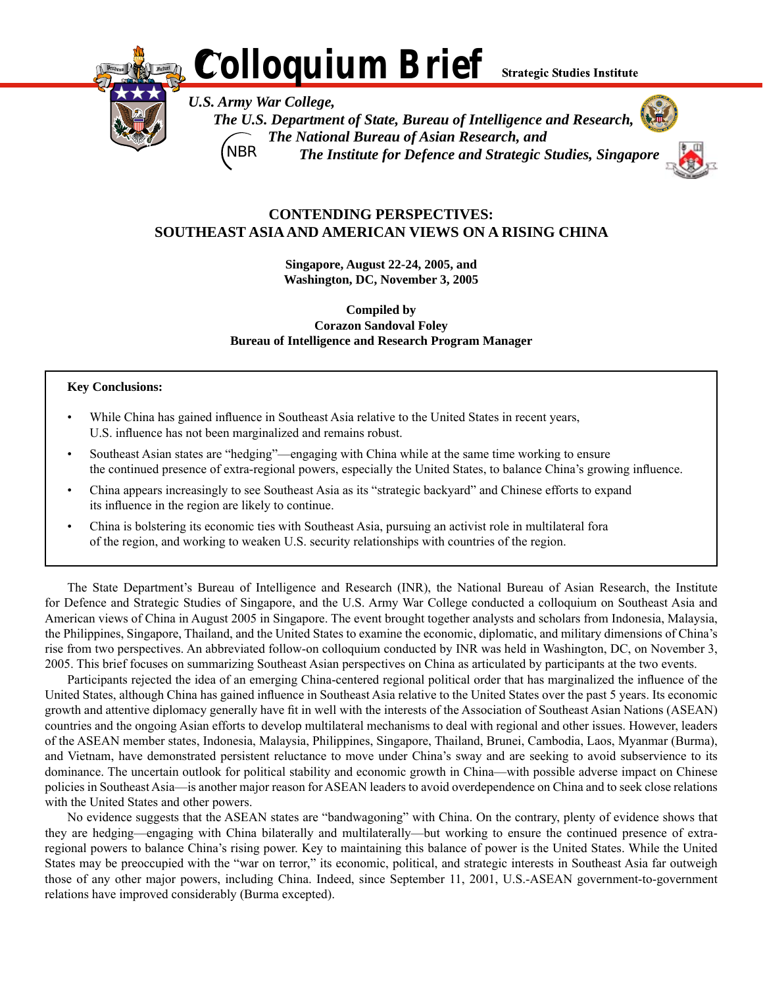**Strategic Studies Institute** 



*U.S. Army War College, The U.S. Department of State, Bureau of Intelligence and Research, The National Bureau of Asian Research, and The Institute for Defence and Strategic Studies, Singapore* **NBR**



# **Contending Perspectives: Southeast Asia and American Views on a Rising China**

*Colloquium Brief*

**Singapore, August 22-24, 2005, and Washington, DC, November 3, 2005**

**Compiled by Corazon Sandoval Foley Bureau of Intelligence and Research Program Manager**

#### **Key Conclusions:**

- While China has gained influence in Southeast Asia relative to the United States in recent years, U.S. influence has not been marginalized and remains robust.
- Southeast Asian states are "hedging"—engaging with China while at the same time working to ensure the continued presence of extra-regional powers, especially the United States, to balance China's growing influence.
- China appears increasingly to see Southeast Asia as its "strategic backyard" and Chinese efforts to expand its influence in the region are likely to continue.
- China is bolstering its economic ties with Southeast Asia, pursuing an activist role in multilateral fora of the region, and working to weaken U.S. security relationships with countries of the region.

 The State Department's Bureau of Intelligence and Research (INR), the National Bureau of Asian Research, the Institute for Defence and Strategic Studies of Singapore, and the U.S. Army War College conducted a colloquium on Southeast Asia and American views of China in August 2005 in Singapore. The event brought together analysts and scholars from Indonesia, Malaysia, the Philippines, Singapore, Thailand, and the United States to examine the economic, diplomatic, and military dimensions of China's rise from two perspectives. An abbreviated follow-on colloquium conducted by INR was held in Washington, DC, on November 3, 2005. This brief focuses on summarizing Southeast Asian perspectives on China as articulated by participants at the two events.

 Participants rejected the idea of an emerging China-centered regional political order that has marginalized the influence of the United States, although China has gained influence in Southeast Asia relative to the United States over the past 5 years. Its economic growth and attentive diplomacy generally have fit in well with the interests of the Association of Southeast Asian Nations (ASEAN) countries and the ongoing Asian efforts to develop multilateral mechanisms to deal with regional and other issues. However, leaders of the ASEAN member states, Indonesia, Malaysia, Philippines, Singapore, Thailand, Brunei, Cambodia, Laos, Myanmar (Burma), and Vietnam, have demonstrated persistent reluctance to move under China's sway and are seeking to avoid subservience to its dominance. The uncertain outlook for political stability and economic growth in China—with possible adverse impact on Chinese policies in Southeast Asia—is another major reason for ASEAN leaders to avoid overdependence on China and to seek close relations with the United States and other powers.

 No evidence suggests that the ASEAN states are "bandwagoning" with China. On the contrary, plenty of evidence shows that they are hedging—engaging with China bilaterally and multilaterally—but working to ensure the continued presence of extraregional powers to balance China's rising power. Key to maintaining this balance of power is the United States. While the United States may be preoccupied with the "war on terror," its economic, political, and strategic interests in Southeast Asia far outweigh those of any other major powers, including China. Indeed, since September 11, 2001, U.S.-ASEAN government-to-government relations have improved considerably (Burma excepted).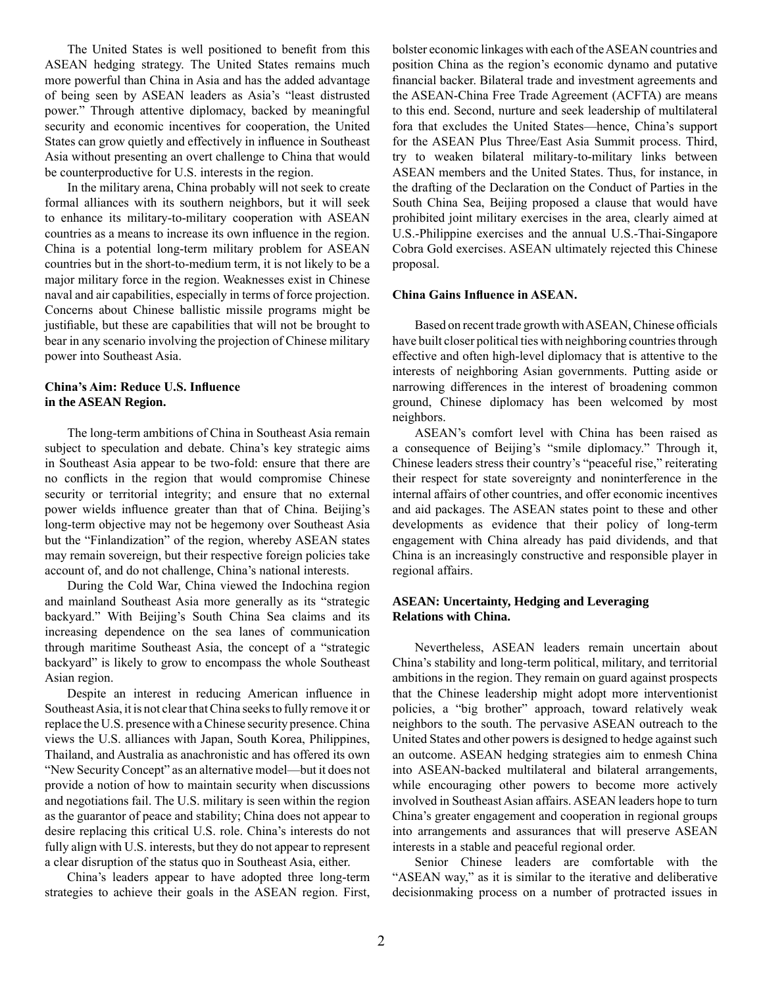The United States is well positioned to benefit from this ASEAN hedging strategy. The United States remains much more powerful than China in Asia and has the added advantage of being seen by ASEAN leaders as Asia's "least distrusted power." Through attentive diplomacy, backed by meaningful security and economic incentives for cooperation, the United States can grow quietly and effectively in influence in Southeast Asia without presenting an overt challenge to China that would be counterproductive for U.S. interests in the region.

 In the military arena, China probably will not seek to create formal alliances with its southern neighbors, but it will seek to enhance its military-to-military cooperation with ASEAN countries as a means to increase its own influence in the region. China is a potential long-term military problem for ASEAN countries but in the short-to-medium term, it is not likely to be a major military force in the region. Weaknesses exist in Chinese naval and air capabilities, especially in terms of force projection. Concerns about Chinese ballistic missile programs might be justifiable, but these are capabilities that will not be brought to bear in any scenario involving the projection of Chinese military power into Southeast Asia.

## **China's Aim: Reduce U.S. Influence in the ASEAN Region.**

 The long-term ambitions of China in Southeast Asia remain subject to speculation and debate. China's key strategic aims in Southeast Asia appear to be two-fold: ensure that there are no conflicts in the region that would compromise Chinese security or territorial integrity; and ensure that no external power wields influence greater than that of China. Beijing's long-term objective may not be hegemony over Southeast Asia but the "Finlandization" of the region, whereby ASEAN states may remain sovereign, but their respective foreign policies take account of, and do not challenge, China's national interests.

 During the Cold War, China viewed the Indochina region and mainland Southeast Asia more generally as its "strategic backyard." With Beijing's South China Sea claims and its increasing dependence on the sea lanes of communication through maritime Southeast Asia, the concept of a "strategic backyard" is likely to grow to encompass the whole Southeast Asian region.

 Despite an interest in reducing American influence in Southeast Asia, it is not clear that China seeks to fully remove it or replace the U.S. presence with aChinese security presence.China views the U.S. alliances with Japan, South Korea, Philippines, Thailand, and Australia as anachronistic and has offered its own "New Security Concept" as an alternative model—but it does not provide a notion of how to maintain security when discussions and negotiations fail. The U.S. military is seen within the region as the guarantor of peace and stability; China does not appear to desire replacing this critical U.S. role. China's interests do not fully align with U.S. interests, but they do not appear to represent a clear disruption of the status quo in Southeast Asia, either.

 China's leaders appear to have adopted three long-term strategies to achieve their goals in the ASEAN region. First,

bolster economic linkages with each of the ASEAN countries and position China as the region's economic dynamo and putative financial backer. Bilateral trade and investment agreements and the ASEAN-China Free Trade Agreement (ACFTA) are means to this end. Second, nurture and seek leadership of multilateral fora that excludes the United States—hence, China's support for the ASEAN Plus Three/East Asia Summit process. Third, try to weaken bilateral military-to-military links between ASEAN members and the United States. Thus, for instance, in the drafting of the Declaration on the Conduct of Parties in the South China Sea, Beijing proposed a clause that would have prohibited joint military exercises in the area, clearly aimed at U.S.-Philippine exercises and the annual U.S.-Thai-Singapore Cobra Gold exercises. ASEAN ultimately rejected this Chinese proposal.

### **China Gains Influence in ASEAN.**

 Based on recent trade growth withASEAN,Chinese officials have built closer political ties with neighboring countries through effective and often high-level diplomacy that is attentive to the interests of neighboring Asian governments. Putting aside or narrowing differences in the interest of broadening common ground, Chinese diplomacy has been welcomed by most neighbors.

 ASEAN's comfort level with China has been raised as a consequence of Beijing's "smile diplomacy." Through it, Chinese leaders stress their country's "peaceful rise," reiterating their respect for state sovereignty and noninterference in the internal affairs of other countries, and offer economic incentives and aid packages. The ASEAN states point to these and other developments as evidence that their policy of long-term engagement with China already has paid dividends, and that China is an increasingly constructive and responsible player in regional affairs.

## **ASEAN: Uncertainty, Hedging and Leveraging Relations with China.**

 Nevertheless, ASEAN leaders remain uncertain about China's stability and long-term political, military, and territorial ambitions in the region. They remain on guard against prospects that the Chinese leadership might adopt more interventionist policies, a "big brother" approach, toward relatively weak neighbors to the south. The pervasive ASEAN outreach to the United States and other powers is designed to hedge against such an outcome. ASEAN hedging strategies aim to enmesh China into ASEAN-backed multilateral and bilateral arrangements, while encouraging other powers to become more actively involved in Southeast Asian affairs. ASEAN leaders hope to turn China's greater engagement and cooperation in regional groups into arrangements and assurances that will preserve ASEAN interests in a stable and peaceful regional order.

 Senior Chinese leaders are comfortable with the "ASEAN way," as it is similar to the iterative and deliberative decisionmaking process on a number of protracted issues in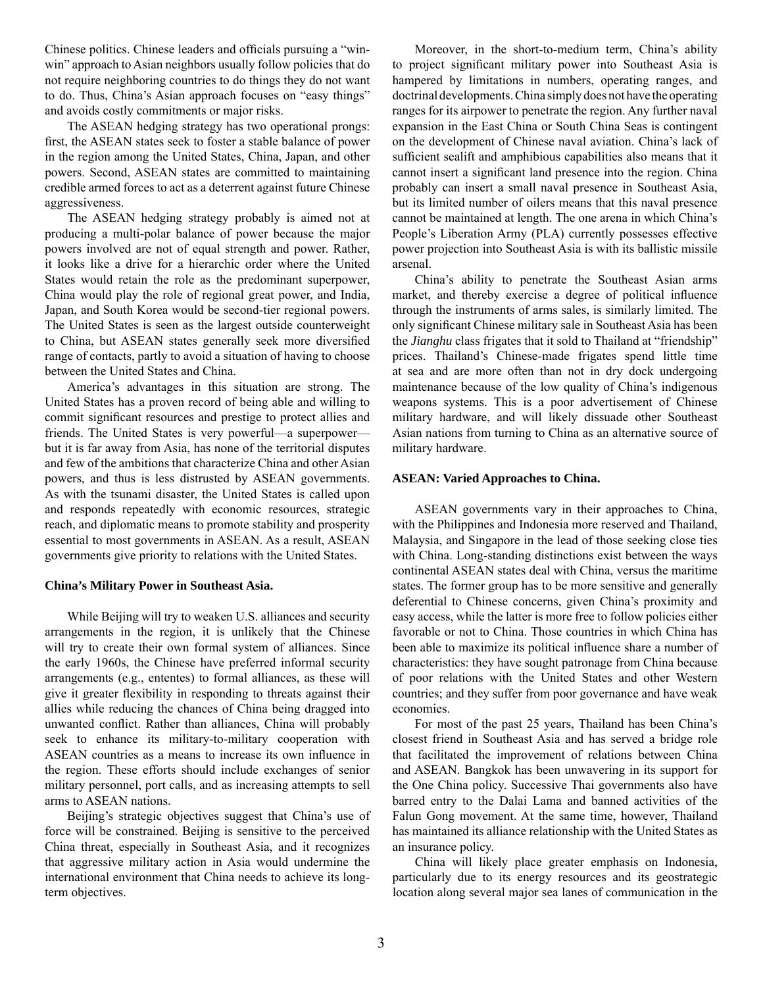Chinese politics. Chinese leaders and officials pursuing a "winwin" approach to Asian neighbors usually follow policies that do not require neighboring countries to do things they do not want to do. Thus, China's Asian approach focuses on "easy things" and avoids costly commitments or major risks.

 The ASEAN hedging strategy has two operational prongs: first, the ASEAN states seek to foster a stable balance of power in the region among the United States, China, Japan, and other powers. Second, ASEAN states are committed to maintaining credible armed forces to act as a deterrent against future Chinese aggressiveness.

 The ASEAN hedging strategy probably is aimed not at producing a multi-polar balance of power because the major powers involved are not of equal strength and power. Rather, it looks like a drive for a hierarchic order where the United States would retain the role as the predominant superpower, China would play the role of regional great power, and India, Japan, and South Korea would be second-tier regional powers. The United States is seen as the largest outside counterweight to China, but ASEAN states generally seek more diversified range of contacts, partly to avoid a situation of having to choose between the United States and China.

 America's advantages in this situation are strong. The United States has a proven record of being able and willing to commit significant resources and prestige to protect allies and friends. The United States is very powerful—a superpower but it is far away from Asia, has none of the territorial disputes and few of the ambitions that characterize China and other Asian powers, and thus is less distrusted by ASEAN governments. As with the tsunami disaster, the United States is called upon and responds repeatedly with economic resources, strategic reach, and diplomatic means to promote stability and prosperity essential to most governments in ASEAN. As a result, ASEAN governments give priority to relations with the United States.

#### **China's Military Power in Southeast Asia.**

 While Beijing will try to weaken U.S. alliances and security arrangements in the region, it is unlikely that the Chinese will try to create their own formal system of alliances. Since the early 1960s, the Chinese have preferred informal security arrangements (e.g., ententes) to formal alliances, as these will give it greater flexibility in responding to threats against their allies while reducing the chances of China being dragged into unwanted conflict. Rather than alliances, China will probably seek to enhance its military-to-military cooperation with ASEAN countries as a means to increase its own influence in the region. These efforts should include exchanges of senior military personnel, port calls, and as increasing attempts to sell arms to ASEAN nations.

 Beijing's strategic objectives suggest that China's use of force will be constrained. Beijing is sensitive to the perceived China threat, especially in Southeast Asia, and it recognizes that aggressive military action in Asia would undermine the international environment that China needs to achieve its longterm objectives.

 Moreover, in the short-to-medium term, China's ability to project significant military power into Southeast Asia is hampered by limitations in numbers, operating ranges, and doctrinal developments. China simply does not have the operating ranges for its airpower to penetrate the region. Any further naval expansion in the East China or South China Seas is contingent on the development of Chinese naval aviation. China's lack of sufficient sealift and amphibious capabilities also means that it cannot insert a significant land presence into the region. China probably can insert a small naval presence in Southeast Asia, but its limited number of oilers means that this naval presence cannot be maintained at length. The one arena in which China's People's Liberation Army (PLA) currently possesses effective power projection into Southeast Asia is with its ballistic missile arsenal.

 China's ability to penetrate the Southeast Asian arms market, and thereby exercise a degree of political influence through the instruments of arms sales, is similarly limited. The only significant Chinese military sale in Southeast Asia has been the *Jianghu* class frigates that it sold to Thailand at "friendship" prices. Thailand's Chinese-made frigates spend little time at sea and are more often than not in dry dock undergoing maintenance because of the low quality of China's indigenous weapons systems. This is a poor advertisement of Chinese military hardware, and will likely dissuade other Southeast Asian nations from turning to China as an alternative source of military hardware.

#### **ASEAN: Varied Approaches to China.**

 ASEAN governments vary in their approaches to China, with the Philippines and Indonesia more reserved and Thailand, Malaysia, and Singapore in the lead of those seeking close ties with China. Long-standing distinctions exist between the ways continental ASEAN states deal with China, versus the maritime states. The former group has to be more sensitive and generally deferential to Chinese concerns, given China's proximity and easy access, while the latter is more free to follow policies either favorable or not to China. Those countries in which China has been able to maximize its political influence share a number of characteristics: they have sought patronage from China because of poor relations with the United States and other Western countries; and they suffer from poor governance and have weak economies.

 For most of the past 25 years, Thailand has been China's closest friend in Southeast Asia and has served a bridge role that facilitated the improvement of relations between China and ASEAN. Bangkok has been unwavering in its support for the One China policy. Successive Thai governments also have barred entry to the Dalai Lama and banned activities of the Falun Gong movement. At the same time, however, Thailand has maintained its alliance relationship with the United States as an insurance policy.

 China will likely place greater emphasis on Indonesia, particularly due to its energy resources and its geostrategic location along several major sea lanes of communication in the